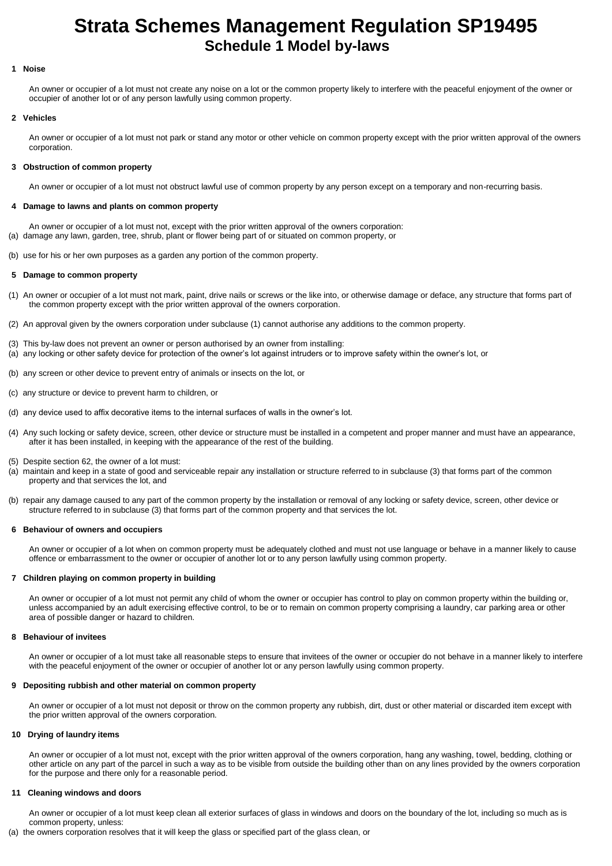# **Strata Schemes Management Regulation SP19495 Schedule 1 Model by-laws**

## **1 Noise**

An owner or occupier of a lot must not create any noise on a lot or the common property likely to interfere with the peaceful enjoyment of the owner or occupier of another lot or of any person lawfully using common property.

#### **2 Vehicles**

An owner or occupier of a lot must not park or stand any motor or other vehicle on common property except with the prior written approval of the owners corporation.

# **3 Obstruction of common property**

An owner or occupier of a lot must not obstruct lawful use of common property by any person except on a temporary and non-recurring basis.

# **4 Damage to lawns and plants on common property**

An owner or occupier of a lot must not, except with the prior written approval of the owners corporation:

- (a) damage any lawn, garden, tree, shrub, plant or flower being part of or situated on common property, or
- (b) use for his or her own purposes as a garden any portion of the common property.

## **5 Damage to common property**

- (1) An owner or occupier of a lot must not mark, paint, drive nails or screws or the like into, or otherwise damage or deface, any structure that forms part of the common property except with the prior written approval of the owners corporation.
- (2) An approval given by the owners corporation under subclause (1) cannot authorise any additions to the common property.
- (3) This by-law does not prevent an owner or person authorised by an owner from installing:
- (a) any locking or other safety device for protection of the owner's lot against intruders or to improve safety within the owner's lot, or
- (b) any screen or other device to prevent entry of animals or insects on the lot, or
- (c) any structure or device to prevent harm to children, or
- (d) any device used to affix decorative items to the internal surfaces of walls in the owner's lot.
- (4) Any such locking or safety device, screen, other device or structure must be installed in a competent and proper manner and must have an appearance, after it has been installed, in keeping with the appearance of the rest of the building.
- (5) Despite section 62, the owner of a lot must:
- (a) maintain and keep in a state of good and serviceable repair any installation or structure referred to in subclause (3) that forms part of the common property and that services the lot, and
- (b) repair any damage caused to any part of the common property by the installation or removal of any locking or safety device, screen, other device or structure referred to in subclause (3) that forms part of the common property and that services the lot.

#### **6 Behaviour of owners and occupiers**

An owner or occupier of a lot when on common property must be adequately clothed and must not use language or behave in a manner likely to cause offence or embarrassment to the owner or occupier of another lot or to any person lawfully using common property.

# **7 Children playing on common property in building**

An owner or occupier of a lot must not permit any child of whom the owner or occupier has control to play on common property within the building or, unless accompanied by an adult exercising effective control, to be or to remain on common property comprising a laundry, car parking area or other area of possible danger or hazard to children.

# **8 Behaviour of invitees**

An owner or occupier of a lot must take all reasonable steps to ensure that invitees of the owner or occupier do not behave in a manner likely to interfere with the peaceful enjoyment of the owner or occupier of another lot or any person lawfully using common property.

#### **9 Depositing rubbish and other material on common property**

An owner or occupier of a lot must not deposit or throw on the common property any rubbish, dirt, dust or other material or discarded item except with the prior written approval of the owners corporation.

#### **10 Drying of laundry items**

An owner or occupier of a lot must not, except with the prior written approval of the owners corporation, hang any washing, towel, bedding, clothing or other article on any part of the parcel in such a way as to be visible from outside the building other than on any lines provided by the owners corporation for the purpose and there only for a reasonable period.

# **11 Cleaning windows and doors**

An owner or occupier of a lot must keep clean all exterior surfaces of glass in windows and doors on the boundary of the lot, including so much as is common property, unless:

(a) the owners corporation resolves that it will keep the glass or specified part of the glass clean, or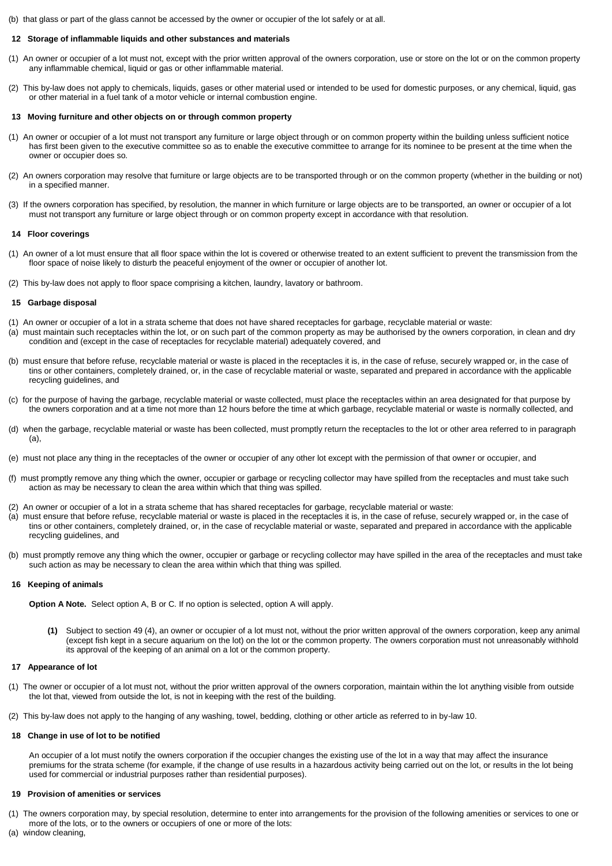(b) that glass or part of the glass cannot be accessed by the owner or occupier of the lot safely or at all.

# **12 Storage of inflammable liquids and other substances and materials**

- (1) An owner or occupier of a lot must not, except with the prior written approval of the owners corporation, use or store on the lot or on the common property any inflammable chemical, liquid or gas or other inflammable material.
- (2) This by-law does not apply to chemicals, liquids, gases or other material used or intended to be used for domestic purposes, or any chemical, liquid, gas or other material in a fuel tank of a motor vehicle or internal combustion engine.

#### **13 Moving furniture and other objects on or through common property**

- (1) An owner or occupier of a lot must not transport any furniture or large object through or on common property within the building unless sufficient notice has first been given to the executive committee so as to enable the executive committee to arrange for its nominee to be present at the time when the owner or occupier does so.
- (2) An owners corporation may resolve that furniture or large objects are to be transported through or on the common property (whether in the building or not) in a specified manner.
- (3) If the owners corporation has specified, by resolution, the manner in which furniture or large objects are to be transported, an owner or occupier of a lot must not transport any furniture or large object through or on common property except in accordance with that resolution.

#### **14 Floor coverings**

- (1) An owner of a lot must ensure that all floor space within the lot is covered or otherwise treated to an extent sufficient to prevent the transmission from the floor space of noise likely to disturb the peaceful enjoyment of the owner or occupier of another lot.
- (2) This by-law does not apply to floor space comprising a kitchen, laundry, lavatory or bathroom.

# **15 Garbage disposal**

- (1) An owner or occupier of a lot in a strata scheme that does not have shared receptacles for garbage, recyclable material or waste:
- (a) must maintain such receptacles within the lot, or on such part of the common property as may be authorised by the owners corporation, in clean and dry condition and (except in the case of receptacles for recyclable material) adequately covered, and
- (b) must ensure that before refuse, recyclable material or waste is placed in the receptacles it is, in the case of refuse, securely wrapped or, in the case of tins or other containers, completely drained, or, in the case of recyclable material or waste, separated and prepared in accordance with the applicable recycling guidelines, and
- (c) for the purpose of having the garbage, recyclable material or waste collected, must place the receptacles within an area designated for that purpose by the owners corporation and at a time not more than 12 hours before the time at which garbage, recyclable material or waste is normally collected, and
- (d) when the garbage, recyclable material or waste has been collected, must promptly return the receptacles to the lot or other area referred to in paragraph (a),
- (e) must not place any thing in the receptacles of the owner or occupier of any other lot except with the permission of that owner or occupier, and
- (f) must promptly remove any thing which the owner, occupier or garbage or recycling collector may have spilled from the receptacles and must take such action as may be necessary to clean the area within which that thing was spilled.
- (2) An owner or occupier of a lot in a strata scheme that has shared receptacles for garbage, recyclable material or waste:
- (a) must ensure that before refuse, recyclable material or waste is placed in the receptacles it is, in the case of refuse, securely wrapped or, in the case of tins or other containers, completely drained, or, in the case of recyclable material or waste, separated and prepared in accordance with the applicable recycling guidelines, and
- (b) must promptly remove any thing which the owner, occupier or garbage or recycling collector may have spilled in the area of the receptacles and must take such action as may be necessary to clean the area within which that thing was spilled.

# **16 Keeping of animals**

**Option A Note.** Select option A, B or C. If no option is selected, option A will apply.

**(1)** Subject to section 49 (4), an owner or occupier of a lot must not, without the prior written approval of the owners corporation, keep any animal (except fish kept in a secure aquarium on the lot) on the lot or the common property. The owners corporation must not unreasonably withhold its approval of the keeping of an animal on a lot or the common property.

# **17 Appearance of lot**

- (1) The owner or occupier of a lot must not, without the prior written approval of the owners corporation, maintain within the lot anything visible from outside the lot that, viewed from outside the lot, is not in keeping with the rest of the building.
- (2) This by-law does not apply to the hanging of any washing, towel, bedding, clothing or other article as referred to in by-law 10.

# **18 Change in use of lot to be notified**

An occupier of a lot must notify the owners corporation if the occupier changes the existing use of the lot in a way that may affect the insurance premiums for the strata scheme (for example, if the change of use results in a hazardous activity being carried out on the lot, or results in the lot being used for commercial or industrial purposes rather than residential purposes).

# **19 Provision of amenities or services**

- (1) The owners corporation may, by special resolution, determine to enter into arrangements for the provision of the following amenities or services to one or more of the lots, or to the owners or occupiers of one or more of the lots:
- (a) window cleaning,